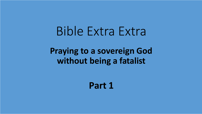## Bible Extra Extra

## **Praying to a sovereign God without being a fatalist**

**Part 1**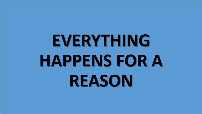# **EVERYTHING HAPPENS FOR A REASON**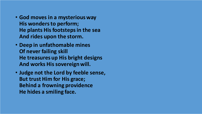- **God moves in a mysterious way His wonders to perform; He plants His footsteps in the sea And rides upon the storm.**
- **Deep in unfathomable mines Of never failing skill He treasures up His bright designs And works His sovereign will.**
- **Judge not the Lord by feeble sense, But trust Him for His grace; Behind a frowning providence He hides a smiling face.**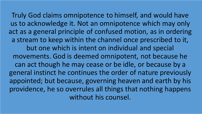Truly God claims omnipotence to himself, and would have us to acknowledge it. Not an omnipotence which may only act as a general principle of confused motion, as in ordering a stream to keep within the channel once prescribed to it, but one which is intent on individual and special movements. God is deemed omnipotent, not because he can act though he may cease or be idle, or because by a general instinct he continues the order of nature previously appointed; but because, governing heaven and earth by his providence, he so overrules all things that nothing happens without his counsel.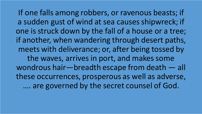If one falls among robbers, or ravenous beasts; if a sudden gust of wind at sea causes shipwreck; if one is struck down by the fall of a house or a tree; if another, when wandering through desert paths, meets with deliverance; or, after being tossed by the waves, arrives in port, and makes some wondrous hair—breadth escape from death — all these occurrences, prosperous as well as adverse, …. are governed by the secret counsel of God.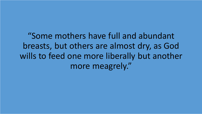"Some mothers have full and abundant breasts, but others are almost dry, as God wills to feed one more liberally but another more meagrely."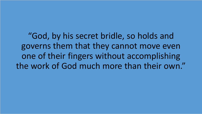"God, by his secret bridle, so holds and governs them that they cannot move even one of their fingers without accomplishing the work of God much more than their own."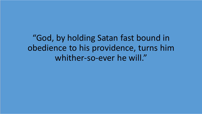"God, by holding Satan fast bound in obedience to his providence, turns him whither-so-ever he will."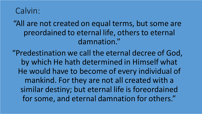#### Calvin:

"All are not created on equal terms, but some are preordained to eternal life, others to eternal damnation."

"Predestination we call the eternal decree of God, by which He hath determined in Himself what He would have to become of every individual of mankind. For they are not all created with a similar destiny; but eternal life is foreordained for some, and eternal damnation for others."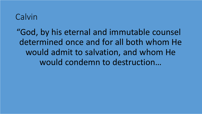### Calvin

"God, by his eternal and immutable counsel determined once and for all both whom He would admit to salvation, and whom He would condemn to destruction…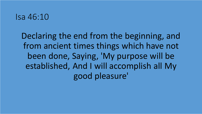#### Isa 46:10

Declaring the end from the beginning, and from ancient times things which have not been done, Saying, 'My purpose will be established, And I will accomplish all My good pleasure'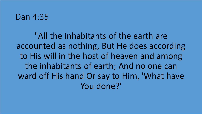#### Dan 4:35

"All the inhabitants of the earth are accounted as nothing, But He does according to His will in the host of heaven and among the inhabitants of earth; And no one can ward off His hand Or say to Him, 'What have You done?'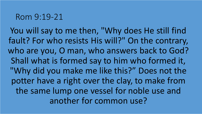#### Rom 9:19-21

You will say to me then, "Why does He still find fault? For who resists His will?" On the contrary, who are you, O man, who answers back to God? Shall what is formed say to him who formed it, "Why did you make me like this?" Does not the potter have a right over the clay, to make from the same lump one vessel for noble use and another for common use?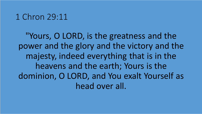#### 1 Chron 29:11

"Yours, O LORD, is the greatness and the power and the glory and the victory and the majesty, indeed everything that is in the heavens and the earth; Yours is the dominion, O LORD, and You exalt Yourself as head over all.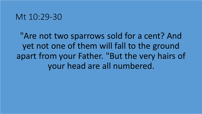#### Mt 10:29-30

"Are not two sparrows sold for a cent? And yet not one of them will fall to the ground apart from your Father. "But the very hairs of your head are all numbered.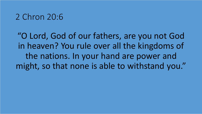### 2 Chron 20:6

"O Lord, God of our fathers, are you not God in heaven? You rule over all the kingdoms of the nations. In your hand are power and might, so that none is able to withstand you."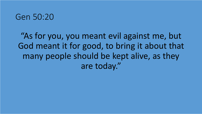#### Gen 50:20

"As for you, you meant evil against me, but God meant it for good, to bring it about that many people should be kept alive, as they are today."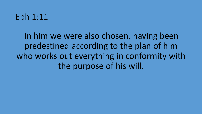## Eph 1:11

In him we were also chosen, having been predestined according to the plan of him who works out everything in conformity with the purpose of his will.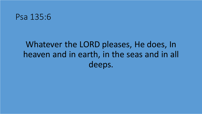#### Psa 135:6

## Whatever the LORD pleases, He does, In heaven and in earth, in the seas and in all deeps.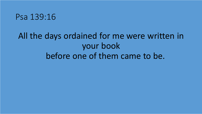#### Psa 139:16

## All the days ordained for me were written in your book before one of them came to be.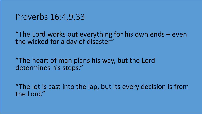#### Proverbs 16:4,9,33

"The Lord works out everything for his own ends – even the wicked for a day of disaster"

"The heart of man plans his way, but the Lord determines his steps."

"The lot is cast into the lap, but its every decision is from the Lord."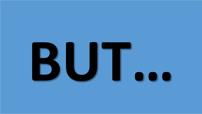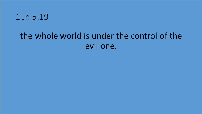

## the whole world is under the control of the evil one.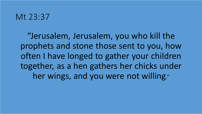#### Mt 23:37

"Jerusalem, Jerusalem, you who kill the prophets and stone those sent to you, how often I have longed to gather your children together, as a hen gathers her chicks under her wings, and you were not willing."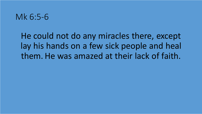#### Mk 6:5-6

He could not do any miracles there, except lay his hands on a few sick people and heal them. He was amazed at their lack of faith.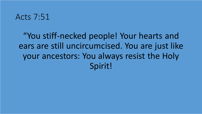#### Acts 7:51

"You stiff-necked people! Your hearts and ears are still uncircumcised. You are just like your ancestors: You always resist the Holy Spirit!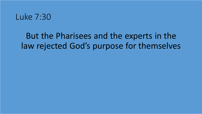

## But the Pharisees and the experts in the law rejected God's purpose for themselves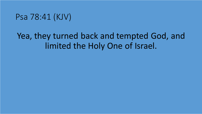#### Psa 78:41 (KJV)

## Yea, they turned back and tempted God, and limited the Holy One of Israel.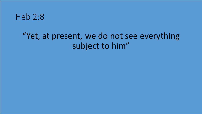#### Heb 2:8

## "Yet, at present, we do not see everything subject to him"